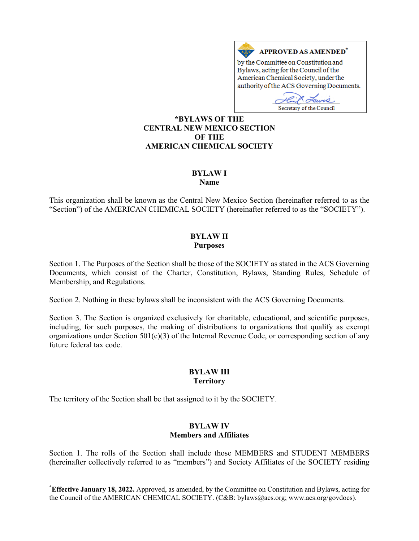

Secretary of the Council

**\*BYLAWS OF THE CENTRAL NEW MEXICO SECTION OF THE AMERICAN CHEMICAL SOCIETY** 

# **BYLAW I**

**Name** 

This organization shall be known as the Central New Mexico Section (hereinafter referred to as the "Section") of the AMERICAN CHEMICAL SOCIETY (hereinafter referred to as the "SOCIETY").

### **BYLAW II Purposes**

Section 1. The Purposes of the Section shall be those of the SOCIETY as stated in the ACS Governing Documents, which consist of the Charter, Constitution, Bylaws, Standing Rules, Schedule of Membership, and Regulations.

Section 2. Nothing in these bylaws shall be inconsistent with the ACS Governing Documents.

Section 3. The Section is organized exclusively for charitable, educational, and scientific purposes, including, for such purposes, the making of distributions to organizations that qualify as exempt organizations under Section  $501(c)(3)$  of the Internal Revenue Code, or corresponding section of any future federal tax code.

# **BYLAW III Territory**

The territory of the Section shall be that assigned to it by the SOCIETY.

### **BYLAW IV Members and Affiliates**

Section 1. The rolls of the Section shall include those MEMBERS and STUDENT MEMBERS (hereinafter collectively referred to as "members") and Society Affiliates of the SOCIETY residing

**<sup>\*</sup> Effective January 18, 2022.** Approved, as amended, by the Committee on Constitution and Bylaws, acting for the Council of the AMERICAN CHEMICAL SOCIETY. (C&B: bylaws@acs.org; www.acs.org/govdocs).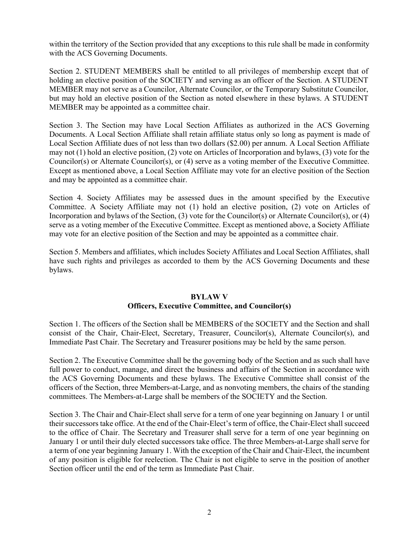within the territory of the Section provided that any exceptions to this rule shall be made in conformity with the ACS Governing Documents.

Section 2. STUDENT MEMBERS shall be entitled to all privileges of membership except that of holding an elective position of the SOCIETY and serving as an officer of the Section. A STUDENT MEMBER may not serve as a Councilor, Alternate Councilor, or the Temporary Substitute Councilor, but may hold an elective position of the Section as noted elsewhere in these bylaws. A STUDENT MEMBER may be appointed as a committee chair.

Section 3. The Section may have Local Section Affiliates as authorized in the ACS Governing Documents. A Local Section Affiliate shall retain affiliate status only so long as payment is made of Local Section Affiliate dues of not less than two dollars (\$2.00) per annum. A Local Section Affiliate may not (1) hold an elective position, (2) vote on Articles of Incorporation and bylaws, (3) vote for the Councilor(s) or Alternate Councilor(s), or (4) serve as a voting member of the Executive Committee. Except as mentioned above, a Local Section Affiliate may vote for an elective position of the Section and may be appointed as a committee chair.

Section 4. Society Affiliates may be assessed dues in the amount specified by the Executive Committee. A Society Affiliate may not (1) hold an elective position, (2) vote on Articles of Incorporation and bylaws of the Section, (3) vote for the Councilor(s) or Alternate Councilor(s), or (4) serve as a voting member of the Executive Committee. Except as mentioned above, a Society Affiliate may vote for an elective position of the Section and may be appointed as a committee chair.

Section 5. Members and affiliates, which includes Society Affiliates and Local Section Affiliates, shall have such rights and privileges as accorded to them by the ACS Governing Documents and these bylaws.

### **BYLAW V Officers, Executive Committee, and Councilor(s)**

Section 1. The officers of the Section shall be MEMBERS of the SOCIETY and the Section and shall consist of the Chair, Chair-Elect, Secretary, Treasurer, Councilor(s), Alternate Councilor(s), and Immediate Past Chair. The Secretary and Treasurer positions may be held by the same person.

Section 2. The Executive Committee shall be the governing body of the Section and as such shall have full power to conduct, manage, and direct the business and affairs of the Section in accordance with the ACS Governing Documents and these bylaws. The Executive Committee shall consist of the officers of the Section, three Members-at-Large, and as nonvoting members, the chairs of the standing committees. The Members-at-Large shall be members of the SOCIETY and the Section.

Section 3. The Chair and Chair-Elect shall serve for a term of one year beginning on January 1 or until their successors take office. At the end of the Chair-Elect's term of office, the Chair-Elect shall succeed to the office of Chair. The Secretary and Treasurer shall serve for a term of one year beginning on January 1 or until their duly elected successors take office. The three Members-at-Large shall serve for a term of one year beginning January 1. With the exception of the Chair and Chair-Elect, the incumbent of any position is eligible for reelection. The Chair is not eligible to serve in the position of another Section officer until the end of the term as Immediate Past Chair.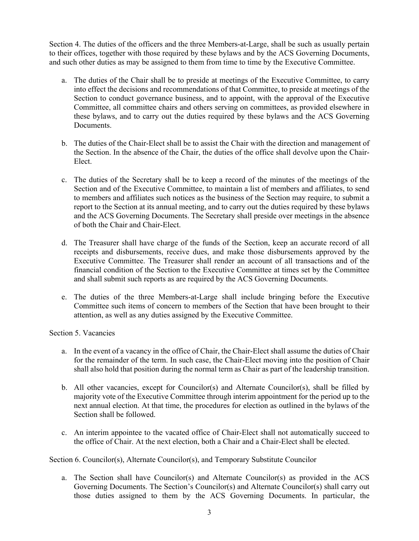Section 4. The duties of the officers and the three Members-at-Large, shall be such as usually pertain to their offices, together with those required by these bylaws and by the ACS Governing Documents, and such other duties as may be assigned to them from time to time by the Executive Committee.

- a. The duties of the Chair shall be to preside at meetings of the Executive Committee, to carry into effect the decisions and recommendations of that Committee, to preside at meetings of the Section to conduct governance business, and to appoint, with the approval of the Executive Committee, all committee chairs and others serving on committees, as provided elsewhere in these bylaws, and to carry out the duties required by these bylaws and the ACS Governing Documents.
- b. The duties of the Chair-Elect shall be to assist the Chair with the direction and management of the Section. In the absence of the Chair, the duties of the office shall devolve upon the Chair-Elect.
- c. The duties of the Secretary shall be to keep a record of the minutes of the meetings of the Section and of the Executive Committee, to maintain a list of members and affiliates, to send to members and affiliates such notices as the business of the Section may require, to submit a report to the Section at its annual meeting, and to carry out the duties required by these bylaws and the ACS Governing Documents. The Secretary shall preside over meetings in the absence of both the Chair and Chair-Elect.
- d. The Treasurer shall have charge of the funds of the Section, keep an accurate record of all receipts and disbursements, receive dues, and make those disbursements approved by the Executive Committee. The Treasurer shall render an account of all transactions and of the financial condition of the Section to the Executive Committee at times set by the Committee and shall submit such reports as are required by the ACS Governing Documents.
- e. The duties of the three Members-at-Large shall include bringing before the Executive Committee such items of concern to members of the Section that have been brought to their attention, as well as any duties assigned by the Executive Committee.

# Section 5. Vacancies

- a. In the event of a vacancy in the office of Chair, the Chair-Elect shall assume the duties of Chair for the remainder of the term. In such case, the Chair-Elect moving into the position of Chair shall also hold that position during the normal term as Chair as part of the leadership transition.
- b. All other vacancies, except for Councilor(s) and Alternate Councilor(s), shall be filled by majority vote of the Executive Committee through interim appointment for the period up to the next annual election. At that time, the procedures for election as outlined in the bylaws of the Section shall be followed.
- c. An interim appointee to the vacated office of Chair-Elect shall not automatically succeed to the office of Chair. At the next election, both a Chair and a Chair-Elect shall be elected.

Section 6. Councilor(s), Alternate Councilor(s), and Temporary Substitute Councilor

a. The Section shall have Councilor(s) and Alternate Councilor(s) as provided in the ACS Governing Documents. The Section's Councilor(s) and Alternate Councilor(s) shall carry out those duties assigned to them by the ACS Governing Documents. In particular, the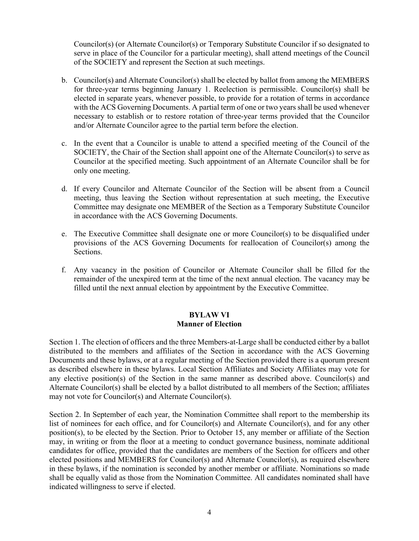Councilor(s) (or Alternate Councilor(s) or Temporary Substitute Councilor if so designated to serve in place of the Councilor for a particular meeting), shall attend meetings of the Council of the SOCIETY and represent the Section at such meetings.

- b. Councilor(s) and Alternate Councilor(s) shall be elected by ballot from among the MEMBERS for three-year terms beginning January 1. Reelection is permissible. Councilor(s) shall be elected in separate years, whenever possible, to provide for a rotation of terms in accordance with the ACS Governing Documents. A partial term of one or two years shall be used whenever necessary to establish or to restore rotation of three-year terms provided that the Councilor and/or Alternate Councilor agree to the partial term before the election.
- c. In the event that a Councilor is unable to attend a specified meeting of the Council of the SOCIETY, the Chair of the Section shall appoint one of the Alternate Councilor(s) to serve as Councilor at the specified meeting. Such appointment of an Alternate Councilor shall be for only one meeting.
- d. If every Councilor and Alternate Councilor of the Section will be absent from a Council meeting, thus leaving the Section without representation at such meeting, the Executive Committee may designate one MEMBER of the Section as a Temporary Substitute Councilor in accordance with the ACS Governing Documents.
- e. The Executive Committee shall designate one or more Councilor(s) to be disqualified under provisions of the ACS Governing Documents for reallocation of Councilor(s) among the Sections.
- f. Any vacancy in the position of Councilor or Alternate Councilor shall be filled for the remainder of the unexpired term at the time of the next annual election. The vacancy may be filled until the next annual election by appointment by the Executive Committee.

# **BYLAW VI Manner of Election**

Section 1. The election of officers and the three Members-at-Large shall be conducted either by a ballot distributed to the members and affiliates of the Section in accordance with the ACS Governing Documents and these bylaws, or at a regular meeting of the Section provided there is a quorum present as described elsewhere in these bylaws. Local Section Affiliates and Society Affiliates may vote for any elective position(s) of the Section in the same manner as described above. Councilor(s) and Alternate Councilor(s) shall be elected by a ballot distributed to all members of the Section; affiliates may not vote for Councilor(s) and Alternate Councilor(s).

Section 2. In September of each year, the Nomination Committee shall report to the membership its list of nominees for each office, and for Councilor(s) and Alternate Councilor(s), and for any other position(s), to be elected by the Section. Prior to October 15, any member or affiliate of the Section may, in writing or from the floor at a meeting to conduct governance business, nominate additional candidates for office, provided that the candidates are members of the Section for officers and other elected positions and MEMBERS for Councilor(s) and Alternate Councilor(s), as required elsewhere in these bylaws, if the nomination is seconded by another member or affiliate. Nominations so made shall be equally valid as those from the Nomination Committee. All candidates nominated shall have indicated willingness to serve if elected.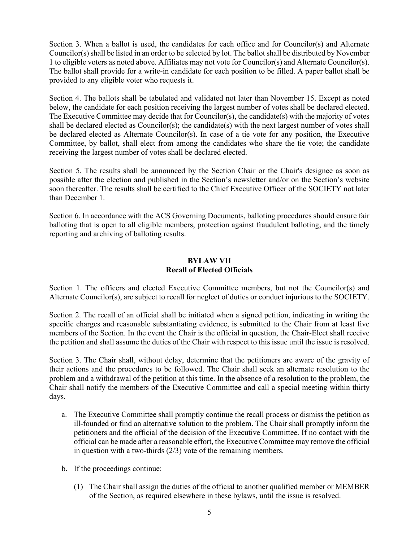Section 3. When a ballot is used, the candidates for each office and for Councilor(s) and Alternate Councilor(s) shall be listed in an order to be selected by lot. The ballot shall be distributed by November 1 to eligible voters as noted above. Affiliates may not vote for Councilor(s) and Alternate Councilor(s). The ballot shall provide for a write-in candidate for each position to be filled. A paper ballot shall be provided to any eligible voter who requests it.

Section 4. The ballots shall be tabulated and validated not later than November 15. Except as noted below, the candidate for each position receiving the largest number of votes shall be declared elected. The Executive Committee may decide that for Councilor(s), the candidate(s) with the majority of votes shall be declared elected as Councilor(s); the candidate(s) with the next largest number of votes shall be declared elected as Alternate Councilor(s). In case of a tie vote for any position, the Executive Committee, by ballot, shall elect from among the candidates who share the tie vote; the candidate receiving the largest number of votes shall be declared elected.

Section 5. The results shall be announced by the Section Chair or the Chair's designee as soon as possible after the election and published in the Section's newsletter and/or on the Section's website soon thereafter. The results shall be certified to the Chief Executive Officer of the SOCIETY not later than December 1.

Section 6. In accordance with the ACS Governing Documents, balloting procedures should ensure fair balloting that is open to all eligible members, protection against fraudulent balloting, and the timely reporting and archiving of balloting results.

# **BYLAW VII Recall of Elected Officials**

Section 1. The officers and elected Executive Committee members, but not the Councilor(s) and Alternate Councilor(s), are subject to recall for neglect of duties or conduct injurious to the SOCIETY.

Section 2. The recall of an official shall be initiated when a signed petition, indicating in writing the specific charges and reasonable substantiating evidence, is submitted to the Chair from at least five members of the Section. In the event the Chair is the official in question, the Chair-Elect shall receive the petition and shall assume the duties of the Chair with respect to this issue until the issue is resolved.

Section 3. The Chair shall, without delay, determine that the petitioners are aware of the gravity of their actions and the procedures to be followed. The Chair shall seek an alternate resolution to the problem and a withdrawal of the petition at this time. In the absence of a resolution to the problem, the Chair shall notify the members of the Executive Committee and call a special meeting within thirty days.

- a. The Executive Committee shall promptly continue the recall process or dismiss the petition as ill-founded or find an alternative solution to the problem. The Chair shall promptly inform the petitioners and the official of the decision of the Executive Committee. If no contact with the official can be made after a reasonable effort, the Executive Committee may remove the official in question with a two-thirds (2/3) vote of the remaining members.
- b. If the proceedings continue:
	- (1) The Chair shall assign the duties of the official to another qualified member or MEMBER of the Section, as required elsewhere in these bylaws, until the issue is resolved.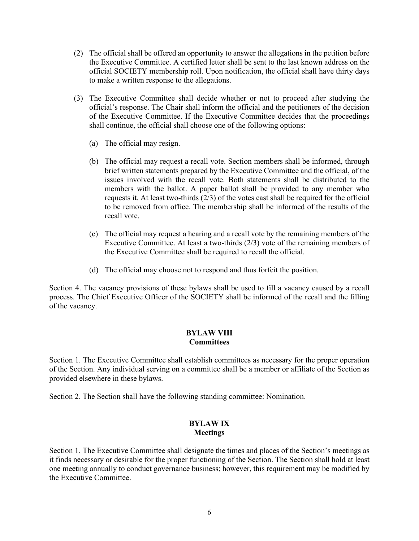- (2) The official shall be offered an opportunity to answer the allegations in the petition before the Executive Committee. A certified letter shall be sent to the last known address on the official SOCIETY membership roll. Upon notification, the official shall have thirty days to make a written response to the allegations.
- (3) The Executive Committee shall decide whether or not to proceed after studying the official's response. The Chair shall inform the official and the petitioners of the decision of the Executive Committee. If the Executive Committee decides that the proceedings shall continue, the official shall choose one of the following options:
	- (a) The official may resign.
	- (b) The official may request a recall vote. Section members shall be informed, through brief written statements prepared by the Executive Committee and the official, of the issues involved with the recall vote. Both statements shall be distributed to the members with the ballot. A paper ballot shall be provided to any member who requests it. At least two-thirds (2/3) of the votes cast shall be required for the official to be removed from office. The membership shall be informed of the results of the recall vote.
	- (c) The official may request a hearing and a recall vote by the remaining members of the Executive Committee. At least a two-thirds (2/3) vote of the remaining members of the Executive Committee shall be required to recall the official.
	- (d) The official may choose not to respond and thus forfeit the position.

Section 4. The vacancy provisions of these bylaws shall be used to fill a vacancy caused by a recall process. The Chief Executive Officer of the SOCIETY shall be informed of the recall and the filling of the vacancy.

# **BYLAW VIII Committees**

Section 1. The Executive Committee shall establish committees as necessary for the proper operation of the Section. Any individual serving on a committee shall be a member or affiliate of the Section as provided elsewhere in these bylaws.

Section 2. The Section shall have the following standing committee: Nomination.

### **BYLAW IX Meetings**

Section 1. The Executive Committee shall designate the times and places of the Section's meetings as it finds necessary or desirable for the proper functioning of the Section. The Section shall hold at least one meeting annually to conduct governance business; however, this requirement may be modified by the Executive Committee.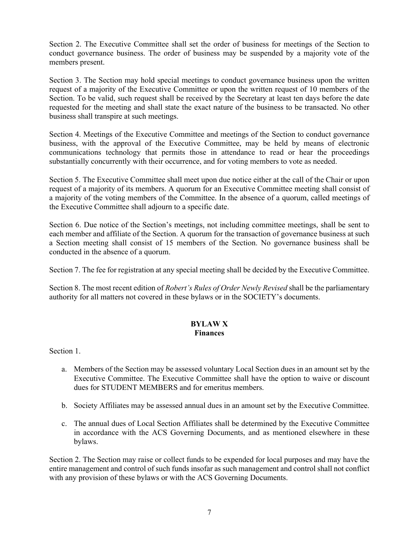Section 2. The Executive Committee shall set the order of business for meetings of the Section to conduct governance business. The order of business may be suspended by a majority vote of the members present.

Section 3. The Section may hold special meetings to conduct governance business upon the written request of a majority of the Executive Committee or upon the written request of 10 members of the Section. To be valid, such request shall be received by the Secretary at least ten days before the date requested for the meeting and shall state the exact nature of the business to be transacted. No other business shall transpire at such meetings.

Section 4. Meetings of the Executive Committee and meetings of the Section to conduct governance business, with the approval of the Executive Committee, may be held by means of electronic communications technology that permits those in attendance to read or hear the proceedings substantially concurrently with their occurrence, and for voting members to vote as needed.

Section 5. The Executive Committee shall meet upon due notice either at the call of the Chair or upon request of a majority of its members. A quorum for an Executive Committee meeting shall consist of a majority of the voting members of the Committee. In the absence of a quorum, called meetings of the Executive Committee shall adjourn to a specific date.

Section 6. Due notice of the Section's meetings, not including committee meetings, shall be sent to each member and affiliate of the Section. A quorum for the transaction of governance business at such a Section meeting shall consist of 15 members of the Section. No governance business shall be conducted in the absence of a quorum.

Section 7. The fee for registration at any special meeting shall be decided by the Executive Committee.

Section 8. The most recent edition of *Robert's Rules of Order Newly Revised* shall be the parliamentary authority for all matters not covered in these bylaws or in the SOCIETY's documents.

# **BYLAW X Finances**

Section 1.

- a. Members of the Section may be assessed voluntary Local Section dues in an amount set by the Executive Committee. The Executive Committee shall have the option to waive or discount dues for STUDENT MEMBERS and for emeritus members.
- b. Society Affiliates may be assessed annual dues in an amount set by the Executive Committee.
- c. The annual dues of Local Section Affiliates shall be determined by the Executive Committee in accordance with the ACS Governing Documents, and as mentioned elsewhere in these bylaws.

Section 2. The Section may raise or collect funds to be expended for local purposes and may have the entire management and control of such funds insofar as such management and control shall not conflict with any provision of these bylaws or with the ACS Governing Documents.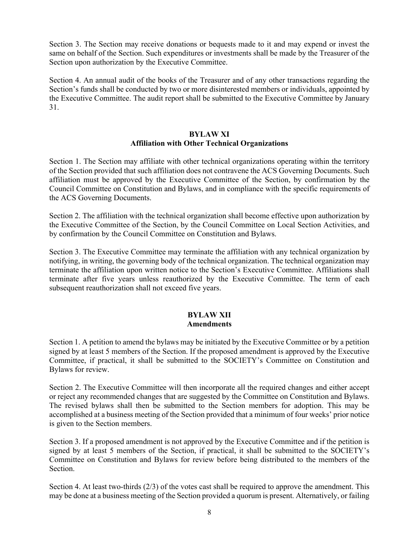Section 3. The Section may receive donations or bequests made to it and may expend or invest the same on behalf of the Section. Such expenditures or investments shall be made by the Treasurer of the Section upon authorization by the Executive Committee.

Section 4. An annual audit of the books of the Treasurer and of any other transactions regarding the Section's funds shall be conducted by two or more disinterested members or individuals, appointed by the Executive Committee. The audit report shall be submitted to the Executive Committee by January 31.

# **BYLAW XI Affiliation with Other Technical Organizations**

Section 1. The Section may affiliate with other technical organizations operating within the territory of the Section provided that such affiliation does not contravene the ACS Governing Documents. Such affiliation must be approved by the Executive Committee of the Section, by confirmation by the Council Committee on Constitution and Bylaws, and in compliance with the specific requirements of the ACS Governing Documents.

Section 2. The affiliation with the technical organization shall become effective upon authorization by the Executive Committee of the Section, by the Council Committee on Local Section Activities, and by confirmation by the Council Committee on Constitution and Bylaws.

Section 3. The Executive Committee may terminate the affiliation with any technical organization by notifying, in writing, the governing body of the technical organization. The technical organization may terminate the affiliation upon written notice to the Section's Executive Committee. Affiliations shall terminate after five years unless reauthorized by the Executive Committee. The term of each subsequent reauthorization shall not exceed five years.

# **BYLAW XII Amendments**

Section 1. A petition to amend the bylaws may be initiated by the Executive Committee or by a petition signed by at least 5 members of the Section. If the proposed amendment is approved by the Executive Committee, if practical, it shall be submitted to the SOCIETY's Committee on Constitution and Bylaws for review.

Section 2. The Executive Committee will then incorporate all the required changes and either accept or reject any recommended changes that are suggested by the Committee on Constitution and Bylaws. The revised bylaws shall then be submitted to the Section members for adoption. This may be accomplished at a business meeting of the Section provided that a minimum of four weeks' prior notice is given to the Section members.

Section 3. If a proposed amendment is not approved by the Executive Committee and if the petition is signed by at least 5 members of the Section, if practical, it shall be submitted to the SOCIETY's Committee on Constitution and Bylaws for review before being distributed to the members of the Section.

Section 4. At least two-thirds (2/3) of the votes cast shall be required to approve the amendment. This may be done at a business meeting of the Section provided a quorum is present. Alternatively, or failing